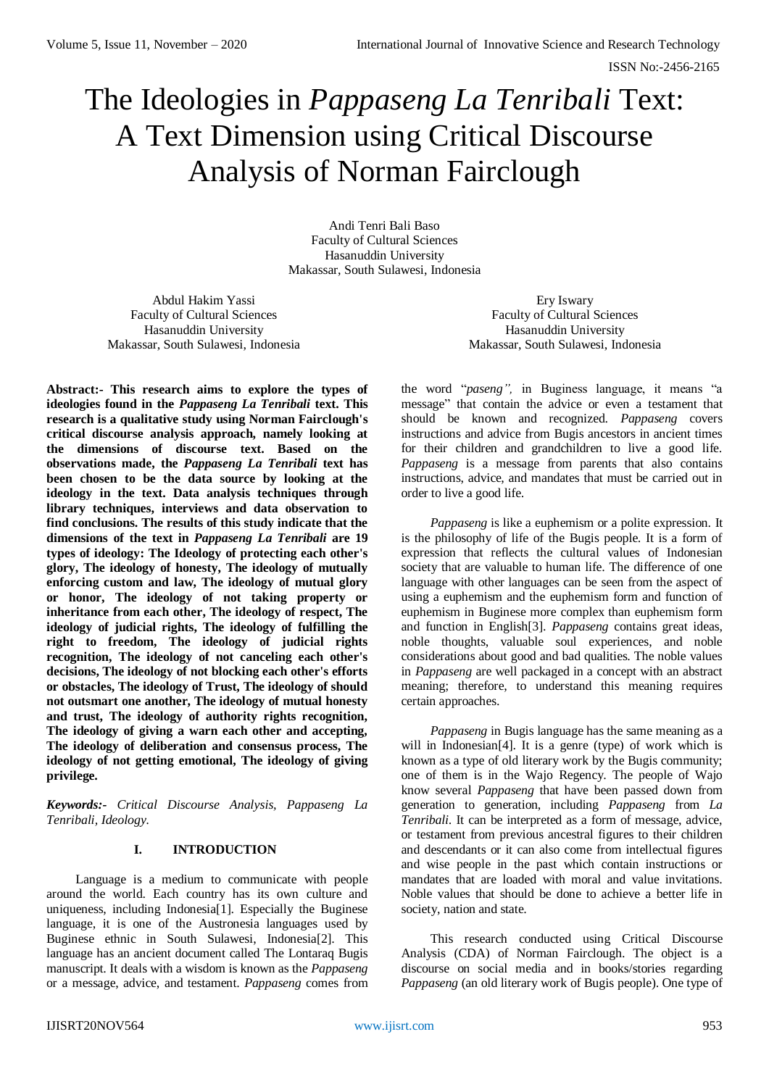# The Ideologies in *Pappaseng La Tenribali* Text: A Text Dimension using Critical Discourse Analysis of Norman Fairclough

Andi Tenri Bali Baso Faculty of Cultural Sciences Hasanuddin University Makassar, South Sulawesi, Indonesia

Abdul Hakim Yassi Faculty of Cultural Sciences Hasanuddin University Makassar, South Sulawesi, Indonesia

Ery Iswary Faculty of Cultural Sciences Hasanuddin University Makassar, South Sulawesi, Indonesia

**Abstract:- This research aims to explore the types of ideologies found in the** *Pappaseng La Tenribali* **text. This research is a qualitative study using Norman Fairclough's critical discourse analysis approach, namely looking at the dimensions of discourse text. Based on the observations made, the** *Pappaseng La Tenribali* **text has been chosen to be the data source by looking at the ideology in the text. Data analysis techniques through library techniques, interviews and data observation to find conclusions. The results of this study indicate that the dimensions of the text in** *Pappaseng La Tenribali* **are 19 types of ideology: The Ideology of protecting each other's glory, The ideology of honesty, The ideology of mutually enforcing custom and law, The ideology of mutual glory or honor, The ideology of not taking property or inheritance from each other, The ideology of respect, The ideology of judicial rights, The ideology of fulfilling the right to freedom, The ideology of judicial rights recognition, The ideology of not canceling each other's decisions, The ideology of not blocking each other's efforts or obstacles, The ideology of Trust, The ideology of should not outsmart one another, The ideology of mutual honesty and trust, The ideology of authority rights recognition, The ideology of giving a warn each other and accepting, The ideology of deliberation and consensus process, The ideology of not getting emotional, The ideology of giving privilege.**

*Keywords:- Critical Discourse Analysis, Pappaseng La Tenribali, Ideology.*

## **I. INTRODUCTION**

Language is a medium to communicate with people around the world. Each country has its own culture and uniqueness, including Indonesia[1]. Especially the Buginese language, it is one of the Austronesia languages used by Buginese ethnic in South Sulawesi, Indonesia[2]. This language has an ancient document called The Lontaraq Bugis manuscript. It deals with a wisdom is known as the *Pappaseng* or a message, advice, and testament. *Pappaseng* comes from the word "*paseng",* in Buginess language, it means "a message" that contain the advice or even a testament that should be known and recognized. *Pappaseng* covers instructions and advice from Bugis ancestors in ancient times for their children and grandchildren to live a good life. *Pappaseng* is a message from parents that also contains instructions, advice, and mandates that must be carried out in order to live a good life.

*Pappaseng* is like a euphemism or a polite expression. It is the philosophy of life of the Bugis people. It is a form of expression that reflects the cultural values of Indonesian society that are valuable to human life. The difference of one language with other languages can be seen from the aspect of using a euphemism and the euphemism form and function of euphemism in Buginese more complex than euphemism form and function in English[3]. *Pappaseng* contains great ideas, noble thoughts, valuable soul experiences, and noble considerations about good and bad qualities. The noble values in *Pappaseng* are well packaged in a concept with an abstract meaning; therefore, to understand this meaning requires certain approaches.

*Pappaseng* in Bugis language has the same meaning as a will in Indonesian<sup>[4]</sup>. It is a genre (type) of work which is known as a type of old literary work by the Bugis community; one of them is in the Wajo Regency. The people of Wajo know several *Pappaseng* that have been passed down from generation to generation, including *Pappaseng* from *La Tenribali*. It can be interpreted as a form of message, advice, or testament from previous ancestral figures to their children and descendants or it can also come from intellectual figures and wise people in the past which contain instructions or mandates that are loaded with moral and value invitations. Noble values that should be done to achieve a better life in society, nation and state.

This research conducted using Critical Discourse Analysis (CDA) of Norman Fairclough. The object is a discourse on social media and in books/stories regarding *Pappaseng* (an old literary work of Bugis people). One type of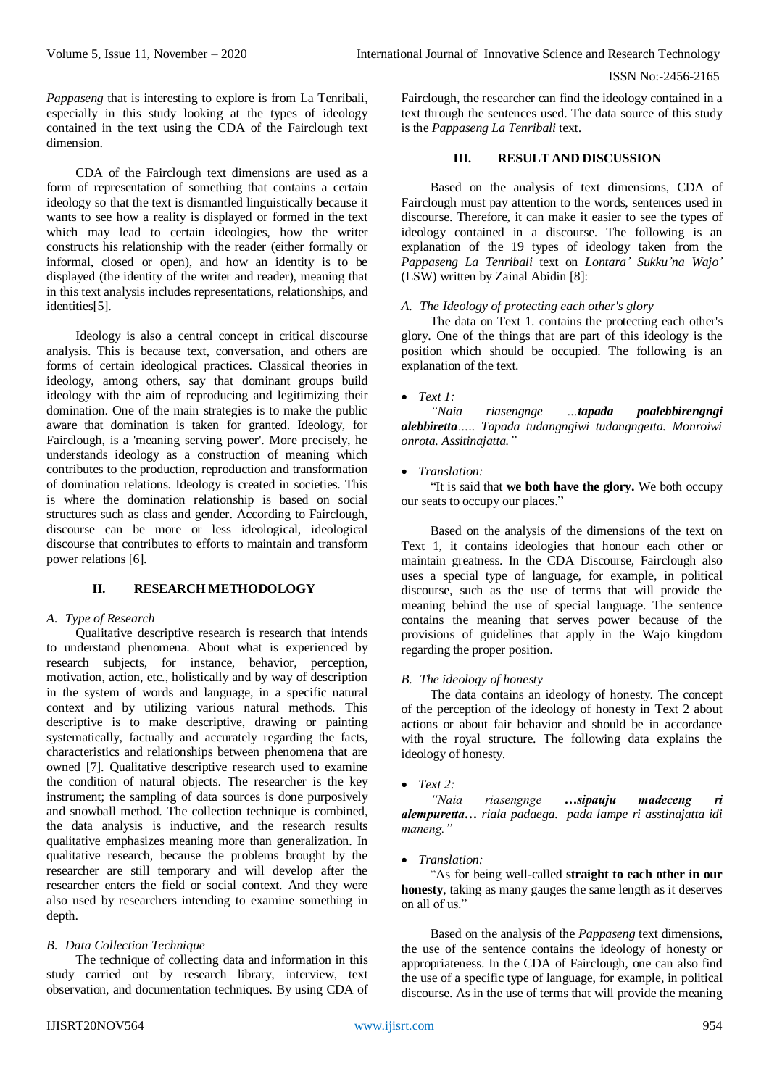*Pappaseng* that is interesting to explore is from La Tenribali, especially in this study looking at the types of ideology contained in the text using the CDA of the Fairclough text dimension.

CDA of the Fairclough text dimensions are used as a form of representation of something that contains a certain ideology so that the text is dismantled linguistically because it wants to see how a reality is displayed or formed in the text which may lead to certain ideologies, how the writer constructs his relationship with the reader (either formally or informal, closed or open), and how an identity is to be displayed (the identity of the writer and reader), meaning that in this text analysis includes representations, relationships, and identities[5].

Ideology is also a central concept in critical discourse analysis. This is because text, conversation, and others are forms of certain ideological practices. Classical theories in ideology, among others, say that dominant groups build ideology with the aim of reproducing and legitimizing their domination. One of the main strategies is to make the public aware that domination is taken for granted. Ideology, for Fairclough, is a 'meaning serving power'. More precisely, he understands ideology as a construction of meaning which contributes to the production, reproduction and transformation of domination relations. Ideology is created in societies. This is where the domination relationship is based on social structures such as class and gender. According to Fairclough, discourse can be more or less ideological, ideological discourse that contributes to efforts to maintain and transform power relations [6].

## **II. RESEARCH METHODOLOGY**

#### *A. Type of Research*

Qualitative descriptive research is research that intends to understand phenomena. About what is experienced by research subjects, for instance, behavior, perception, motivation, action, etc., holistically and by way of description in the system of words and language, in a specific natural context and by utilizing various natural methods. This descriptive is to make descriptive, drawing or painting systematically, factually and accurately regarding the facts, characteristics and relationships between phenomena that are owned [7]. Qualitative descriptive research used to examine the condition of natural objects. The researcher is the key instrument; the sampling of data sources is done purposively and snowball method. The collection technique is combined, the data analysis is inductive, and the research results qualitative emphasizes meaning more than generalization. In qualitative research, because the problems brought by the researcher are still temporary and will develop after the researcher enters the field or social context. And they were also used by researchers intending to examine something in depth.

#### *B. Data Collection Technique*

The technique of collecting data and information in this study carried out by research library, interview, text observation, and documentation techniques. By using CDA of Fairclough, the researcher can find the ideology contained in a text through the sentences used. The data source of this study is the *Pappaseng La Tenribali* text.

## **III. RESULT AND DISCUSSION**

Based on the analysis of text dimensions, CDA of Fairclough must pay attention to the words, sentences used in discourse. Therefore, it can make it easier to see the types of ideology contained in a discourse. The following is an explanation of the 19 types of ideology taken from the *Pappaseng La Tenribali* text on *Lontara' Sukku'na Wajo'* (LSW) written by Zainal Abidin [8]:

#### *A. The Ideology of protecting each other's glory*

The data on Text 1. contains the protecting each other's glory. One of the things that are part of this ideology is the position which should be occupied. The following is an explanation of the text.

#### *Text 1:*

*"Naia riasengnge …tapada poalebbirengngi alebbiretta….. Tapada tudangngiwi tudangngetta. Monroiwi onrota. Assitinajatta."*

#### *Translation:*

"It is said that **we both have the glory.** We both occupy our seats to occupy our places."

Based on the analysis of the dimensions of the text on Text 1, it contains ideologies that honour each other or maintain greatness. In the CDA Discourse, Fairclough also uses a special type of language, for example, in political discourse, such as the use of terms that will provide the meaning behind the use of special language. The sentence contains the meaning that serves power because of the provisions of guidelines that apply in the Wajo kingdom regarding the proper position.

#### *B. The ideology of honesty*

The data contains an ideology of honesty. The concept of the perception of the ideology of honesty in Text 2 about actions or about fair behavior and should be in accordance with the royal structure. The following data explains the ideology of honesty.

## *Text 2:*

*"Naia riasengnge …sipauju madeceng ri alempuretta… riala padaega. pada lampe ri asstinajatta idi maneng."* 

#### *Translation:*

"As for being well-called **straight to each other in our honesty**, taking as many gauges the same length as it deserves on all of us."

Based on the analysis of the *Pappaseng* text dimensions, the use of the sentence contains the ideology of honesty or appropriateness. In the CDA of Fairclough, one can also find the use of a specific type of language, for example, in political discourse. As in the use of terms that will provide the meaning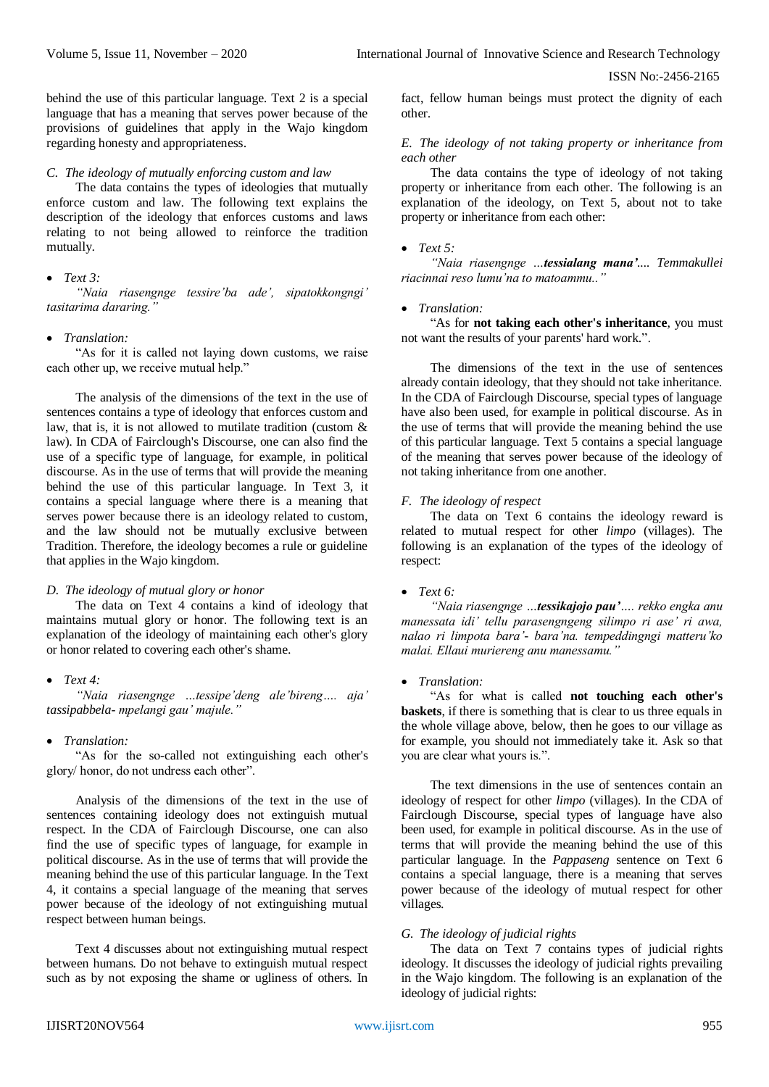behind the use of this particular language. Text 2 is a special language that has a meaning that serves power because of the provisions of guidelines that apply in the Wajo kingdom regarding honesty and appropriateness.

#### *C. The ideology of mutually enforcing custom and law*

The data contains the types of ideologies that mutually enforce custom and law. The following text explains the description of the ideology that enforces customs and laws relating to not being allowed to reinforce the tradition mutually.

## *Text 3:*

*"Naia riasengnge tessire'ba ade', sipatokkongngi' tasitarima dararing."* 

#### *Translation:*

"As for it is called not laying down customs, we raise each other up, we receive mutual help."

The analysis of the dimensions of the text in the use of sentences contains a type of ideology that enforces custom and law, that is, it is not allowed to mutilate tradition (custom & law). In CDA of Fairclough's Discourse, one can also find the use of a specific type of language, for example, in political discourse. As in the use of terms that will provide the meaning behind the use of this particular language. In Text 3, it contains a special language where there is a meaning that serves power because there is an ideology related to custom, and the law should not be mutually exclusive between Tradition. Therefore, the ideology becomes a rule or guideline that applies in the Wajo kingdom.

## *D. The ideology of mutual glory or honor*

The data on Text 4 contains a kind of ideology that maintains mutual glory or honor. The following text is an explanation of the ideology of maintaining each other's glory or honor related to covering each other's shame.

#### *Text 4:*

*"Naia riasengnge …tessipe'deng ale'bireng…. aja' tassipabbela- mpelangi gau' majule."* 

#### *Translation:*

"As for the so-called not extinguishing each other's glory/ honor, do not undress each other".

Analysis of the dimensions of the text in the use of sentences containing ideology does not extinguish mutual respect. In the CDA of Fairclough Discourse, one can also find the use of specific types of language, for example in political discourse. As in the use of terms that will provide the meaning behind the use of this particular language. In the Text 4, it contains a special language of the meaning that serves power because of the ideology of not extinguishing mutual respect between human beings.

Text 4 discusses about not extinguishing mutual respect between humans. Do not behave to extinguish mutual respect such as by not exposing the shame or ugliness of others. In

fact, fellow human beings must protect the dignity of each other.

## *E. The ideology of not taking property or inheritance from each other*

The data contains the type of ideology of not taking property or inheritance from each other. The following is an explanation of the ideology, on Text 5, about not to take property or inheritance from each other:

#### *Text 5:*

*"Naia riasengnge …tessialang mana'.... Temmakullei riacinnai reso lumu'na to matoammu.."* 

#### *Translation:*

"As for **not taking each other's inheritance**, you must not want the results of your parents' hard work.".

The dimensions of the text in the use of sentences already contain ideology, that they should not take inheritance. In the CDA of Fairclough Discourse, special types of language have also been used, for example in political discourse. As in the use of terms that will provide the meaning behind the use of this particular language. Text 5 contains a special language of the meaning that serves power because of the ideology of not taking inheritance from one another.

## *F. The ideology of respect*

The data on Text 6 contains the ideology reward is related to mutual respect for other *limpo* (villages). The following is an explanation of the types of the ideology of respect:

## *Text 6:*

*"Naia riasengnge …tessikajojo pau'…. rekko engka anu manessata idi' tellu parasengngeng silimpo ri ase' ri awa, nalao ri limpota bara'- bara'na. tempeddingngi matteru'ko malai. Ellaui muriereng anu manessamu."* 

#### *Translation:*

"As for what is called **not touching each other's baskets**, if there is something that is clear to us three equals in the whole village above, below, then he goes to our village as for example, you should not immediately take it. Ask so that you are clear what yours is.".

The text dimensions in the use of sentences contain an ideology of respect for other *limpo* (villages). In the CDA of Fairclough Discourse, special types of language have also been used, for example in political discourse. As in the use of terms that will provide the meaning behind the use of this particular language. In the *Pappaseng* sentence on Text 6 contains a special language, there is a meaning that serves power because of the ideology of mutual respect for other villages.

#### *G. The ideology of judicial rights*

The data on Text 7 contains types of judicial rights ideology. It discusses the ideology of judicial rights prevailing in the Wajo kingdom. The following is an explanation of the ideology of judicial rights: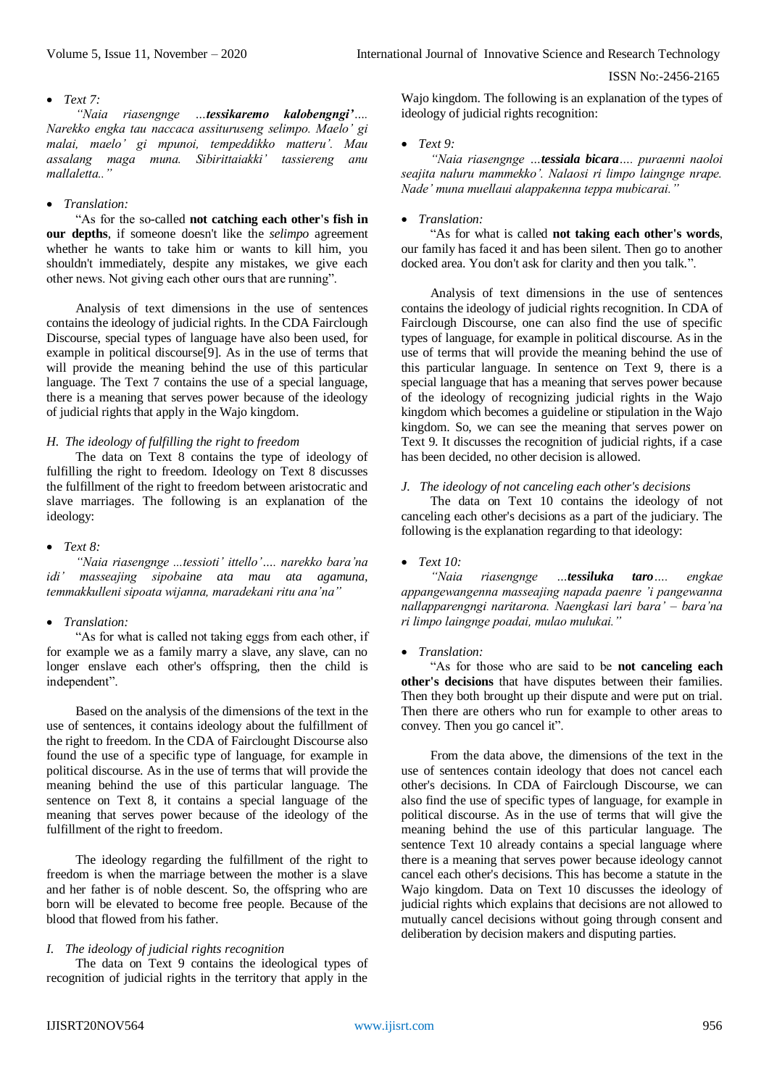#### *Text 7:*

*"Naia riasengnge …tessikaremo kalobengngi'…. Narekko engka tau naccaca assituruseng selimpo. Maelo' gi malai, maelo' gi mpunoi, tempeddikko matteru'. Mau assalang maga muna. Sibirittaiakki' tassiereng anu mallaletta.."* 

## *Translation:*

"As for the so-called **not catching each other's fish in our depths**, if someone doesn't like the *selimpo* agreement whether he wants to take him or wants to kill him, you shouldn't immediately, despite any mistakes, we give each other news. Not giving each other ours that are running".

Analysis of text dimensions in the use of sentences contains the ideology of judicial rights. In the CDA Fairclough Discourse, special types of language have also been used, for example in political discourse[9]. As in the use of terms that will provide the meaning behind the use of this particular language. The Text 7 contains the use of a special language, there is a meaning that serves power because of the ideology of judicial rights that apply in the Wajo kingdom.

#### *H. The ideology of fulfilling the right to freedom*

The data on Text 8 contains the type of ideology of fulfilling the right to freedom. Ideology on Text 8 discusses the fulfillment of the right to freedom between aristocratic and slave marriages. The following is an explanation of the ideology:

#### *Text 8:*

*"Naia riasengnge ...tessioti' ittello'…. narekko bara'na idi' masseajing sipobaine ata mau ata agamuna, temmakkulleni sipoata wijanna, maradekani ritu ana'na"* 

## *Translation:*

"As for what is called not taking eggs from each other, if for example we as a family marry a slave, any slave, can no longer enslave each other's offspring, then the child is independent".

Based on the analysis of the dimensions of the text in the use of sentences, it contains ideology about the fulfillment of the right to freedom. In the CDA of Fairclought Discourse also found the use of a specific type of language, for example in political discourse. As in the use of terms that will provide the meaning behind the use of this particular language. The sentence on Text 8, it contains a special language of the meaning that serves power because of the ideology of the fulfillment of the right to freedom.

The ideology regarding the fulfillment of the right to freedom is when the marriage between the mother is a slave and her father is of noble descent. So, the offspring who are born will be elevated to become free people. Because of the blood that flowed from his father.

#### *I. The ideology of judicial rights recognition*

The data on Text 9 contains the ideological types of recognition of judicial rights in the territory that apply in the

Wajo kingdom. The following is an explanation of the types of ideology of judicial rights recognition:

## $\bullet$  *Text* 9.

*"Naia riasengnge …tessiala bicara…. puraenni naoloi seajita naluru mammekko'. Nalaosi ri limpo laingnge nrape. Nade' muna muellaui alappakenna teppa mubicarai."* 

## *Translation:*

"As for what is called **not taking each other's words**, our family has faced it and has been silent. Then go to another docked area. You don't ask for clarity and then you talk.".

Analysis of text dimensions in the use of sentences contains the ideology of judicial rights recognition. In CDA of Fairclough Discourse, one can also find the use of specific types of language, for example in political discourse. As in the use of terms that will provide the meaning behind the use of this particular language. In sentence on Text 9, there is a special language that has a meaning that serves power because of the ideology of recognizing judicial rights in the Wajo kingdom which becomes a guideline or stipulation in the Wajo kingdom. So, we can see the meaning that serves power on Text 9. It discusses the recognition of judicial rights, if a case has been decided, no other decision is allowed.

## *J. The ideology of not canceling each other's decisions*

The data on Text 10 contains the ideology of not canceling each other's decisions as a part of the judiciary. The following is the explanation regarding to that ideology:

## *Text 10:*

*"Naia riasengnge …tessiluka taro…. engkae appangewangenna masseajing napada paenre 'i pangewanna nallapparengngi naritarona. Naengkasi lari bara' – bara'na ri limpo laingnge poadai, mulao mulukai."* 

## *Translation:*

"As for those who are said to be **not canceling each other's decisions** that have disputes between their families. Then they both brought up their dispute and were put on trial. Then there are others who run for example to other areas to convey. Then you go cancel it".

From the data above, the dimensions of the text in the use of sentences contain ideology that does not cancel each other's decisions. In CDA of Fairclough Discourse, we can also find the use of specific types of language, for example in political discourse. As in the use of terms that will give the meaning behind the use of this particular language. The sentence Text 10 already contains a special language where there is a meaning that serves power because ideology cannot cancel each other's decisions. This has become a statute in the Wajo kingdom. Data on Text 10 discusses the ideology of judicial rights which explains that decisions are not allowed to mutually cancel decisions without going through consent and deliberation by decision makers and disputing parties.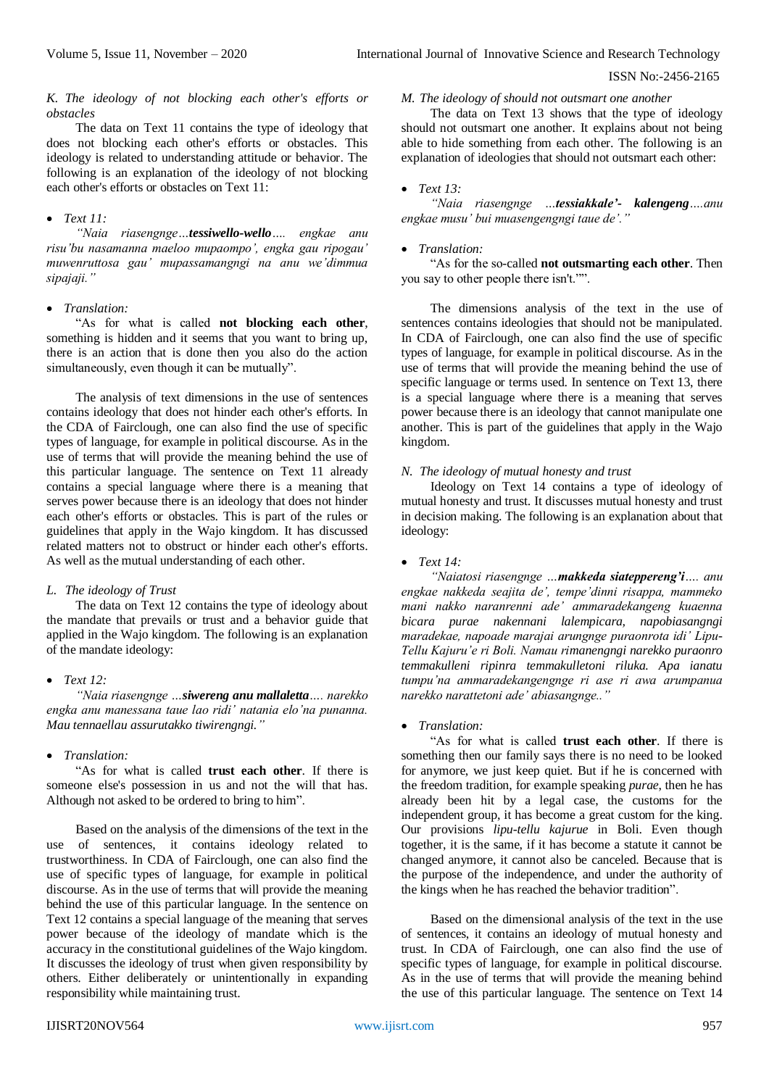## *K. The ideology of not blocking each other's efforts or obstacles*

The data on Text 11 contains the type of ideology that does not blocking each other's efforts or obstacles. This ideology is related to understanding attitude or behavior. The following is an explanation of the ideology of not blocking each other's efforts or obstacles on Text 11:

## *Text 11:*

*"Naia riasengnge…tessiwello-wello…. engkae anu risu'bu nasamanna maeloo mupaompo', engka gau ripogau' muwenruttosa gau' mupassamangngi na anu we'dimmua sipajaji."* 

## *Translation:*

"As for what is called **not blocking each other**, something is hidden and it seems that you want to bring up, there is an action that is done then you also do the action simultaneously, even though it can be mutually".

The analysis of text dimensions in the use of sentences contains ideology that does not hinder each other's efforts. In the CDA of Fairclough, one can also find the use of specific types of language, for example in political discourse. As in the use of terms that will provide the meaning behind the use of this particular language. The sentence on Text 11 already contains a special language where there is a meaning that serves power because there is an ideology that does not hinder each other's efforts or obstacles. This is part of the rules or guidelines that apply in the Wajo kingdom. It has discussed related matters not to obstruct or hinder each other's efforts. As well as the mutual understanding of each other.

## *L. The ideology of Trust*

The data on Text 12 contains the type of ideology about the mandate that prevails or trust and a behavior guide that applied in the Wajo kingdom. The following is an explanation of the mandate ideology:

*Text 12:*

*"Naia riasengnge …siwereng anu mallaletta…. narekko engka anu manessana taue lao ridi' natania elo'na punanna. Mau tennaellau assurutakko tiwirengngi."* 

*Translation:*

"As for what is called **trust each other**. If there is someone else's possession in us and not the will that has. Although not asked to be ordered to bring to him".

Based on the analysis of the dimensions of the text in the use of sentences, it contains ideology related to trustworthiness. In CDA of Fairclough, one can also find the use of specific types of language, for example in political discourse. As in the use of terms that will provide the meaning behind the use of this particular language. In the sentence on Text 12 contains a special language of the meaning that serves power because of the ideology of mandate which is the accuracy in the constitutional guidelines of the Wajo kingdom. It discusses the ideology of trust when given responsibility by others. Either deliberately or unintentionally in expanding responsibility while maintaining trust.

## *M. The ideology of should not outsmart one another*

The data on Text 13 shows that the type of ideology should not outsmart one another. It explains about not being able to hide something from each other. The following is an explanation of ideologies that should not outsmart each other:

## *Text 13:*

*"Naia riasengnge …tessiakkale'- kalengeng….anu engkae musu' bui muasengengngi taue de'."* 

## *Translation:*

"As for the so-called **not outsmarting each other**. Then you say to other people there isn't."".

The dimensions analysis of the text in the use of sentences contains ideologies that should not be manipulated. In CDA of Fairclough, one can also find the use of specific types of language, for example in political discourse. As in the use of terms that will provide the meaning behind the use of specific language or terms used. In sentence on Text 13, there is a special language where there is a meaning that serves power because there is an ideology that cannot manipulate one another. This is part of the guidelines that apply in the Wajo kingdom.

## *N. The ideology of mutual honesty and trust*

Ideology on Text 14 contains a type of ideology of mutual honesty and trust. It discusses mutual honesty and trust in decision making. The following is an explanation about that ideology:

## *Text 14:*

*"Naiatosi riasengnge …makkeda siateppereng'i…. anu engkae nakkeda seajita de', tempe'dinni risappa, mammeko mani nakko naranrenni ade' ammaradekangeng kuaenna bicara purae nakennani lalempicara, napobiasangngi maradekae, napoade marajai arungnge puraonrota idi' Lipu-Tellu Kajuru'e ri Boli. Namau rimanengngi narekko puraonro temmakulleni ripinra temmakulletoni riluka. Apa ianatu tumpu'na ammaradekangengnge ri ase ri awa arumpanua narekko narattetoni ade' abiasangnge.."* 

## *Translation:*

"As for what is called **trust each other**. If there is something then our family says there is no need to be looked for anymore, we just keep quiet. But if he is concerned with the freedom tradition, for example speaking *purae*, then he has already been hit by a legal case, the customs for the independent group, it has become a great custom for the king. Our provisions *lipu-tellu kajurue* in Boli. Even though together, it is the same, if it has become a statute it cannot be changed anymore, it cannot also be canceled. Because that is the purpose of the independence, and under the authority of the kings when he has reached the behavior tradition".

Based on the dimensional analysis of the text in the use of sentences, it contains an ideology of mutual honesty and trust. In CDA of Fairclough, one can also find the use of specific types of language, for example in political discourse. As in the use of terms that will provide the meaning behind the use of this particular language. The sentence on Text 14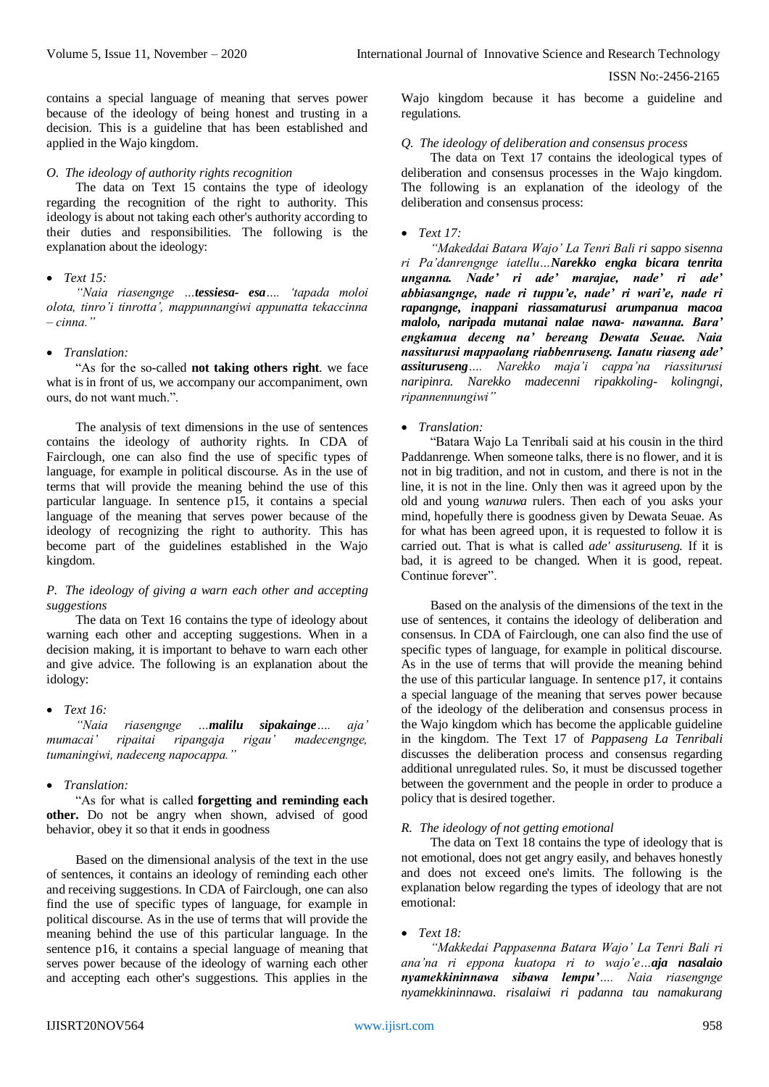contains a special language of meaning that serves power because of the ideology of being honest and trusting in a decision. This is a guideline that has been established and applied in the Wajo kingdom.

#### *O. The ideology of authority rights recognition*

The data on Text 15 contains the type of ideology regarding the recognition of the right to authority. This ideology is about not taking each other's authority according to their duties and responsibilities. The following is the explanation about the ideology:

## *Text 15:*

*"Naia riasengnge …tessiesa- esa…. 'tapada moloi olota, tinro'i tinrotta', mappunnangiwi appunatta tekaccinna – cinna."* 

#### *Translation:*

"As for the so-called **not taking others right**. we face what is in front of us, we accompany our accompaniment, own ours, do not want much.".

The analysis of text dimensions in the use of sentences contains the ideology of authority rights. In CDA of Fairclough, one can also find the use of specific types of language, for example in political discourse. As in the use of terms that will provide the meaning behind the use of this particular language. In sentence p15, it contains a special language of the meaning that serves power because of the ideology of recognizing the right to authority. This has become part of the guidelines established in the Wajo kingdom.

## *P. The ideology of giving a warn each other and accepting suggestions*

The data on Text 16 contains the type of ideology about warning each other and accepting suggestions. When in a decision making, it is important to behave to warn each other and give advice. The following is an explanation about the idology:

*Text 16:*

*"Naia riasengnge …malilu sipakainge…. aja' mumacai' ripaitai ripangaja rigau' madecengnge, tumaningiwi, nadeceng napocappa."* 

#### *Translation:*

"As for what is called **forgetting and reminding each other.** Do not be angry when shown, advised of good behavior, obey it so that it ends in goodness

Based on the dimensional analysis of the text in the use of sentences, it contains an ideology of reminding each other and receiving suggestions. In CDA of Fairclough, one can also find the use of specific types of language, for example in political discourse. As in the use of terms that will provide the meaning behind the use of this particular language. In the sentence p16, it contains a special language of meaning that serves power because of the ideology of warning each other and accepting each other's suggestions. This applies in the

Wajo kingdom because it has become a guideline and regulations.

#### *Q. The ideology of deliberation and consensus process*

The data on Text 17 contains the ideological types of deliberation and consensus processes in the Wajo kingdom. The following is an explanation of the ideology of the deliberation and consensus process:

#### *Text 17:*

*"Makeddai Batara Wajo' La Tenri Bali ri sappo sisenna ri Pa'danrengnge iatellu…Narekko engka bicara tenrita unganna. Nade' ri ade' marajae, nade' ri ade' abbiasangnge, nade ri tuppu'e, nade' ri wari'e, nade ri rapangnge, inappani riassamaturusi arumpanua macoa malolo, naripada mutanai nalae nawa- nawanna. Bara' engkamua deceng na' bereang Dewata Seuae. Naia nassiturusi mappaolang riabbenruseng. Ianatu riaseng ade' assituruseng…. Narekko maja'i cappa'na riassiturusi naripinra. Narekko madecenni ripakkoling- kolingngi, ripannennungiwi"* 

*Translation:*

"Batara Wajo La Tenribali said at his cousin in the third Paddanrenge. When someone talks, there is no flower, and it is not in big tradition, and not in custom, and there is not in the line, it is not in the line. Only then was it agreed upon by the old and young *wanuwa* rulers. Then each of you asks your mind, hopefully there is goodness given by Dewata Seuae. As for what has been agreed upon, it is requested to follow it is carried out. That is what is called *ade' assituruseng.* If it is bad, it is agreed to be changed. When it is good, repeat. Continue forever".

Based on the analysis of the dimensions of the text in the use of sentences, it contains the ideology of deliberation and consensus. In CDA of Fairclough, one can also find the use of specific types of language, for example in political discourse. As in the use of terms that will provide the meaning behind the use of this particular language. In sentence p17, it contains a special language of the meaning that serves power because of the ideology of the deliberation and consensus process in the Wajo kingdom which has become the applicable guideline in the kingdom. The Text 17 of *Pappaseng La Tenribali* discusses the deliberation process and consensus regarding additional unregulated rules. So, it must be discussed together between the government and the people in order to produce a policy that is desired together.

#### *R. The ideology of not getting emotional*

The data on Text 18 contains the type of ideology that is not emotional, does not get angry easily, and behaves honestly and does not exceed one's limits. The following is the explanation below regarding the types of ideology that are not emotional:

#### *Text 18:*

*"Makkedai Pappasenna Batara Wajo' La Tenri Bali ri ana'na ri eppona kuatopa ri to wajo'e…aja nasalaio nyamekkininnawa sibawa lempu'…. Naia riasengnge nyamekkininnawa. risalaiwi ri padanna tau namakurang*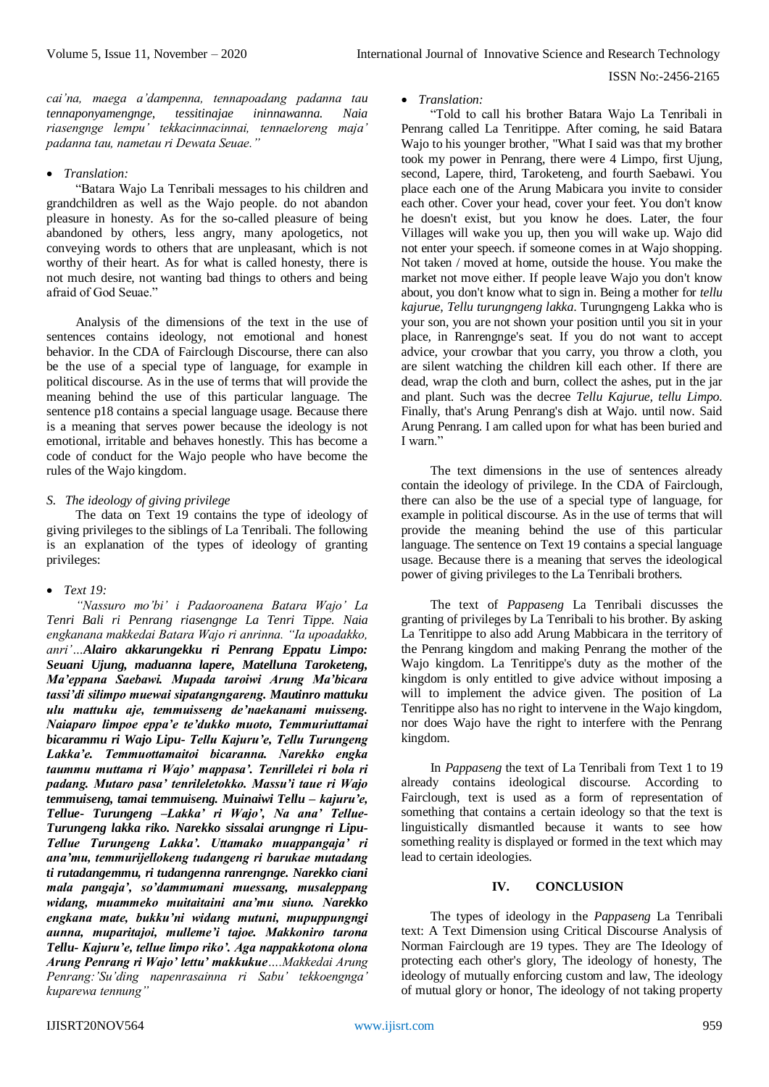*cai'na, maega a'dampenna, tennapoadang padanna tau tennaponyamengnge, tessitinajae ininnawanna. Naia riasengnge lempu' tekkacinnacinnai, tennaeloreng maja' padanna tau, nametau ri Dewata Seuae."* 

## *Translation:*

"Batara Wajo La Tenribali messages to his children and grandchildren as well as the Wajo people. do not abandon pleasure in honesty. As for the so-called pleasure of being abandoned by others, less angry, many apologetics, not conveying words to others that are unpleasant, which is not worthy of their heart. As for what is called honesty, there is not much desire, not wanting bad things to others and being afraid of God Seuae."

Analysis of the dimensions of the text in the use of sentences contains ideology, not emotional and honest behavior. In the CDA of Fairclough Discourse, there can also be the use of a special type of language, for example in political discourse. As in the use of terms that will provide the meaning behind the use of this particular language. The sentence p18 contains a special language usage. Because there is a meaning that serves power because the ideology is not emotional, irritable and behaves honestly. This has become a code of conduct for the Wajo people who have become the rules of the Wajo kingdom.

## *S. The ideology of giving privilege*

The data on Text 19 contains the type of ideology of giving privileges to the siblings of La Tenribali. The following is an explanation of the types of ideology of granting privileges:

*Text 19:*

*"Nassuro mo'bi' i Padaoroanena Batara Wajo' La Tenri Bali ri Penrang riasengnge La Tenri Tippe. Naia engkanana makkedai Batara Wajo ri anrinna. "Ia upoadakko, anri'…Alairo akkarungekku ri Penrang Eppatu Limpo: Seuani Ujung, maduanna lapere, Matelluna Taroketeng, Ma'eppana Saebawi. Mupada taroiwi Arung Ma'bicara tassi'di silimpo muewai sipatangngareng. Mautinro mattuku ulu mattuku aje, temmuisseng de'naekanami muisseng. Naiaparo limpoe eppa'e te'dukko muoto, Temmuriuttamai bicarammu ri Wajo Lipu- Tellu Kajuru'e, Tellu Turungeng Lakka'e. Temmuottamaitoi bicaranna. Narekko engka taummu muttama ri Wajo' mappasa'. Tenrillelei ri bola ri padang. Mutaro pasa' tenrileletokko. Massu'i taue ri Wajo temmuiseng, tamai temmuiseng. Muinaiwi Tellu – kajuru'e, Tellue- Turungeng –Lakka' ri Wajo', Na ana' Tellue-Turungeng lakka riko. Narekko sissalai arungnge ri Lipu-Tellue Turungeng Lakka'. Uttamako muappangaja' ri ana'mu, temmurijellokeng tudangeng ri barukae mutadang ti rutadangemmu, ri tudangenna ranrengnge. Narekko ciani mala pangaja', so'dammumani muessang, musaleppang widang, muammeko muitaitaini ana'mu siuno. Narekko engkana mate, bukku'ni widang mutuni, mupuppungngi aunna, muparitajoi, mulleme'i tajoe. Makkoniro tarona Tellu- Kajuru'e, tellue limpo riko'. Aga nappakkotona olona Arung Penrang ri Wajo' lettu' makkukue….Makkedai Arung Penrang:'Su'ding napenrasainna ri Sabu' tekkoengnga' kuparewa tennung"* 

## *Translation:*

"Told to call his brother Batara Wajo La Tenribali in Penrang called La Tenritippe. After coming, he said Batara Wajo to his younger brother, "What I said was that my brother took my power in Penrang, there were 4 Limpo, first Ujung, second, Lapere, third, Taroketeng, and fourth Saebawi. You place each one of the Arung Mabicara you invite to consider each other. Cover your head, cover your feet. You don't know he doesn't exist, but you know he does. Later, the four Villages will wake you up, then you will wake up. Wajo did not enter your speech. if someone comes in at Wajo shopping. Not taken / moved at home, outside the house. You make the market not move either. If people leave Wajo you don't know about, you don't know what to sign in. Being a mother for *tellu kajurue, Tellu turungngeng lakka*. Turungngeng Lakka who is your son, you are not shown your position until you sit in your place, in Ranrengnge's seat. If you do not want to accept advice, your crowbar that you carry, you throw a cloth, you are silent watching the children kill each other. If there are dead, wrap the cloth and burn, collect the ashes, put in the jar and plant. Such was the decree *Tellu Kajurue, tellu Limpo.* Finally, that's Arung Penrang's dish at Wajo. until now. Said Arung Penrang. I am called upon for what has been buried and I warn."

The text dimensions in the use of sentences already contain the ideology of privilege. In the CDA of Fairclough, there can also be the use of a special type of language, for example in political discourse. As in the use of terms that will provide the meaning behind the use of this particular language. The sentence on Text 19 contains a special language usage. Because there is a meaning that serves the ideological power of giving privileges to the La Tenribali brothers.

The text of *Pappaseng* La Tenribali discusses the granting of privileges by La Tenribali to his brother. By asking La Tenritippe to also add Arung Mabbicara in the territory of the Penrang kingdom and making Penrang the mother of the Wajo kingdom. La Tenritippe's duty as the mother of the kingdom is only entitled to give advice without imposing a will to implement the advice given. The position of La Tenritippe also has no right to intervene in the Wajo kingdom, nor does Wajo have the right to interfere with the Penrang kingdom.

In *Pappaseng* the text of La Tenribali from Text 1 to 19 already contains ideological discourse. According to Fairclough, text is used as a form of representation of something that contains a certain ideology so that the text is linguistically dismantled because it wants to see how something reality is displayed or formed in the text which may lead to certain ideologies.

#### **IV. CONCLUSION**

The types of ideology in the *Pappaseng* La Tenribali text: A Text Dimension using Critical Discourse Analysis of Norman Fairclough are 19 types. They are The Ideology of protecting each other's glory, The ideology of honesty, The ideology of mutually enforcing custom and law, The ideology of mutual glory or honor, The ideology of not taking property